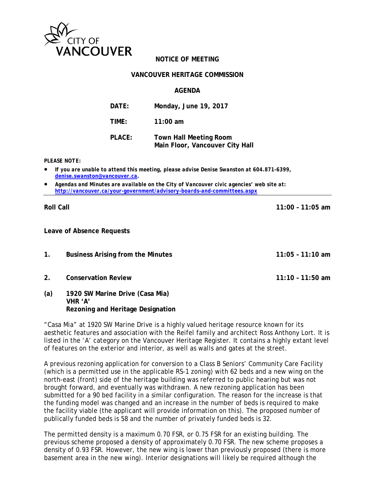

## **NOTICE OF MEETING**

#### **VANCOUVER HERITAGE COMMISSION**

#### **AGENDA**

| DATE:  | Monday, June 19, 2017                                            |
|--------|------------------------------------------------------------------|
| TIME:  | $11:00$ am                                                       |
| PLACE: | <b>Town Hall Meeting Room</b><br>Main Floor, Vancouver City Hall |

#### *PLEASE NOTE:*

- *If you are unable to attend this meeting, please advise Denise Swanston at 604.871-6399, denise.swanston@vancouver.ca.*
- *Agendas and Minutes are available on the City of Vancouver civic agencies' web site at: http://vancouver.ca/your-government/advisory-boards-and-committees.aspx*

#### **Roll Call 11:00 – 11:05 am**

**Leave of Absence Requests** 

- **1. Business Arising from the Minutes 11:05 11:10 am**
- **2. Conservation Review 11:10 11:50 am**
- **(a) 1920 SW Marine Drive (Casa Mia) VHR 'A' Rezoning and Heritage Designation**

"Casa Mia" at 1920 SW Marine Drive is a highly valued heritage resource known for its aesthetic features and association with the Reifel family and architect Ross Anthony Lort. It is listed in the 'A' category on the Vancouver Heritage Register. It contains a highly extant level of features on the exterior and interior, as well as walls and gates at the street.

A previous rezoning application for conversion to a Class B Seniors' Community Care Facility (which is a permitted use in the applicable RS-1 zoning) with 62 beds and a new wing on the north-east (front) side of the heritage building was referred to public hearing but was not brought forward, and eventually was withdrawn. A new rezoning application has been submitted for a 90 bed facility in a similar configuration. The reason for the increase is that the funding model was changed and an increase in the number of beds is required to make the facility viable (the applicant will provide information on this). The proposed number of publically funded beds is 58 and the number of privately funded beds is 32.

The permitted density is a maximum 0.70 FSR, or 0.75 FSR for an existing building. The previous scheme proposed a density of approximately 0.70 FSR. The new scheme proposes a density of 0.93 FSR. However, the new wing is lower than previously proposed (there is more basement area in the new wing). Interior designations will likely be required although the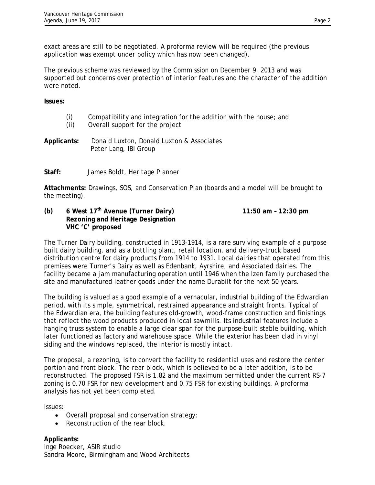exact areas are still to be negotiated. A proforma review will be required (the previous application was exempt under policy which has now been changed).

The previous scheme was reviewed by the Commission on December 9, 2013 and was supported but concerns over protection of interior features and the character of the addition were noted.

**Issues:** 

|               | Compatibility and integration for the addition with the house; and                                                                                                                                                                                                                   |
|---------------|--------------------------------------------------------------------------------------------------------------------------------------------------------------------------------------------------------------------------------------------------------------------------------------|
| $\sim$ $\sim$ | $\sim$ 11 $\sim$ 10 $\sim$ 11 $\sim$ 11 $\sim$ 11 $\sim$ 11 $\sim$ 11 $\sim$ 11 $\sim$ 11 $\sim$ 11 $\sim$ 11 $\sim$ 11 $\sim$ 11 $\sim$ 11 $\sim$ 11 $\sim$ 11 $\sim$ 11 $\sim$ 11 $\sim$ 11 $\sim$ 11 $\sim$ 11 $\sim$ 11 $\sim$ 11 $\sim$ 11 $\sim$ 11 $\sim$ 11 $\sim$ 11 $\sim$ |

- (ii) Overall support for the project
- **Applicants:** Donald Luxton, Donald Luxton & Associates Peter Lang, IBI Group
- **Staff:** James Boldt, Heritage Planner

**Attachments:** Drawings, SOS, and Conservation Plan (boards and a model will be brought to the meeting).

**(b) 6 West 17th Avenue (Turner Dairy) 11:50 am – 12:30 pm Rezoning and Heritage Designation VHC 'C' proposed** 

The Turner Dairy building, constructed in 1913-1914, is a rare surviving example of a purpose built dairy building, and as a bottling plant, retail location, and delivery-truck based distribution centre for dairy products from 1914 to 1931. Local dairies that operated from this premises were Turner's Dairy as well as Edenbank, Ayrshire, and Associated dairies. The facility became a jam manufacturing operation until 1946 when the Izen family purchased the site and manufactured leather goods under the name Durabilt for the next 50 years.

The building is valued as a good example of a vernacular, industrial building of the Edwardian period, with its simple, symmetrical, restrained appearance and straight fronts. Typical of the Edwardian era, the building features old-growth, wood-frame construction and finishings that reflect the wood products produced in local sawmills. Its industrial features include a hanging truss system to enable a large clear span for the purpose-built stable building, which later functioned as factory and warehouse space. While the exterior has been clad in vinyl siding and the windows replaced, the interior is mostly intact.

The proposal, a rezoning, is to convert the facility to residential uses and restore the center portion and front block. The rear block, which is believed to be a later addition, is to be reconstructed. The proposed FSR is 1.82 and the maximum permitted under the current RS-7 zoning is 0.70 FSR for new development and 0.75 FSR for existing buildings. A proforma analysis has not yet been completed.

Issues:

- Overall proposal and conservation strategy;
- Reconstruction of the rear block.

**Applicants:**  Inge Roecker, ASIR studio Sandra Moore, Birmingham and Wood Architects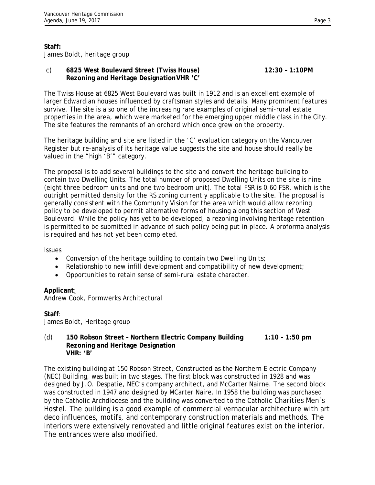## **Staff:**

James Boldt, heritage group

## c) **6825 West Boulevard Street (Twiss House) 12:30 – 1:10PM Rezoning and Heritage Designation VHR 'C'**

The Twiss House at 6825 West Boulevard was built in 1912 and is an excellent example of larger Edwardian houses influenced by craftsman styles and details. Many prominent features survive. The site is also one of the increasing rare examples of original semi-rural estate properties in the area, which were marketed for the emerging upper middle class in the City. The site features the remnants of an orchard which once grew on the property.

The heritage building and site are listed in the 'C' evaluation category on the Vancouver Register but re-analysis of its heritage value suggests the site and house should really be valued in the "high 'B'" category.

The proposal is to add several buildings to the site and convert the heritage building to contain two Dwelling Units. The total number of proposed Dwelling Units on the site is nine (eight three bedroom units and one two bedroom unit). The total FSR is 0.60 FSR, which is the outright permitted density for the RS zoning currently applicable to the site. The proposal is generally consistent with the Community Vision for the area which would allow rezoning policy to be developed to permit alternative forms of housing along this section of West Boulevard. While the policy has yet to be developed, a rezoning involving heritage retention is permitted to be submitted in advance of such policy being put in place. A proforma analysis is required and has not yet been completed.

### Issues

- Conversion of the heritage building to contain two Dwelling Units;
- Relationship to new infill development and compatibility of new development;
- Opportunities to retain sense of semi-rural estate character.

### **Applicant**:

Andrew Cook, Formwerks Architectural

### **Staff**:

James Boldt, Heritage group

### (d) **150 Robson Street – Northern Electric Company Building 1:10 – 1:50 pm Rezoning and Heritage Designation VHR: 'B'**

The existing building at 150 Robson Street, Constructed as the Northern Electric Company (NEC) Building, was built in two stages. The first block was constructed in 1928 and was designed by J.O. Despatie, NEC's company architect, and McCarter Nairne. The second block was constructed in 1947 and designed by MCarter Naire. In 1958 the building was purchased by the Catholic Archdiocese and the building was converted to the Catholic Charities Men's Hostel. The building is a good example of commercial vernacular architecture with art deco influences, motifs, and contemporary construction materials and methods. The interiors were extensively renovated and little original features exist on the interior. The entrances were also modified.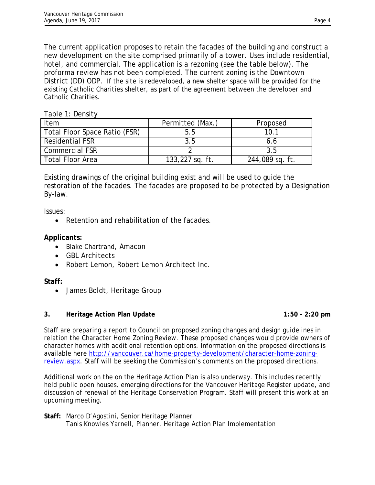The current application proposes to retain the facades of the building and construct a new development on the site comprised primarily of a tower. Uses include residential, hotel, and commercial. The application is a rezoning (see the table below). The proforma review has not been completed. The current zoning is the Downtown District (DD) ODP. If the site is redeveloped, a new shelter space will be provided for the existing Catholic Charities shelter, as part of the agreement between the developer and Catholic Charities.

| TANIC T. DCIBILY              |                  |                 |
|-------------------------------|------------------|-----------------|
| Item                          | Permitted (Max.) | Proposed        |
| Total Floor Space Ratio (FSR) | 5.5              | 10.1            |
| <b>Residential FSR</b>        | 3.5              | 6.6             |
| <b>Commercial FSR</b>         |                  | 3.5             |
| <b>Total Floor Area</b>       | 133,227 sq. ft.  | 244,089 sq. ft. |

Existing drawings of the original building exist and will be used to guide the restoration of the facades. The facades are proposed to be protected by a Designation By-law.

Issues:

• Retention and rehabilitation of the facades.

# **Applicants:**

Table 1: Density

- Blake Chartrand, Amacon
- GBL Architects
- Robert Lemon, Robert Lemon Architect Inc.

# **Staff:**

• James Boldt, Heritage Group

# **3.** Heritage Action Plan Update **1:50 - 2:20 pm**

Staff are preparing a report to Council on proposed zoning changes and design guidelines in relation the Character Home Zoning Review. These proposed changes would provide owners of character homes with additional retention options. Information on the proposed directions is available here http://vancouver.ca/home-property-development/character-home-zoningreview.aspx. Staff will be seeking the Commission's comments on the proposed directions.

Additional work on the on the Heritage Action Plan is also underway. This includes recently held public open houses, emerging directions for the Vancouver Heritage Register update, and discussion of renewal of the Heritage Conservation Program. Staff will present this work at an upcoming meeting.

**Staff:** Marco D'Agostini, Senior Heritage Planner Tanis Knowles Yarnell, Planner, Heritage Action Plan Implementation